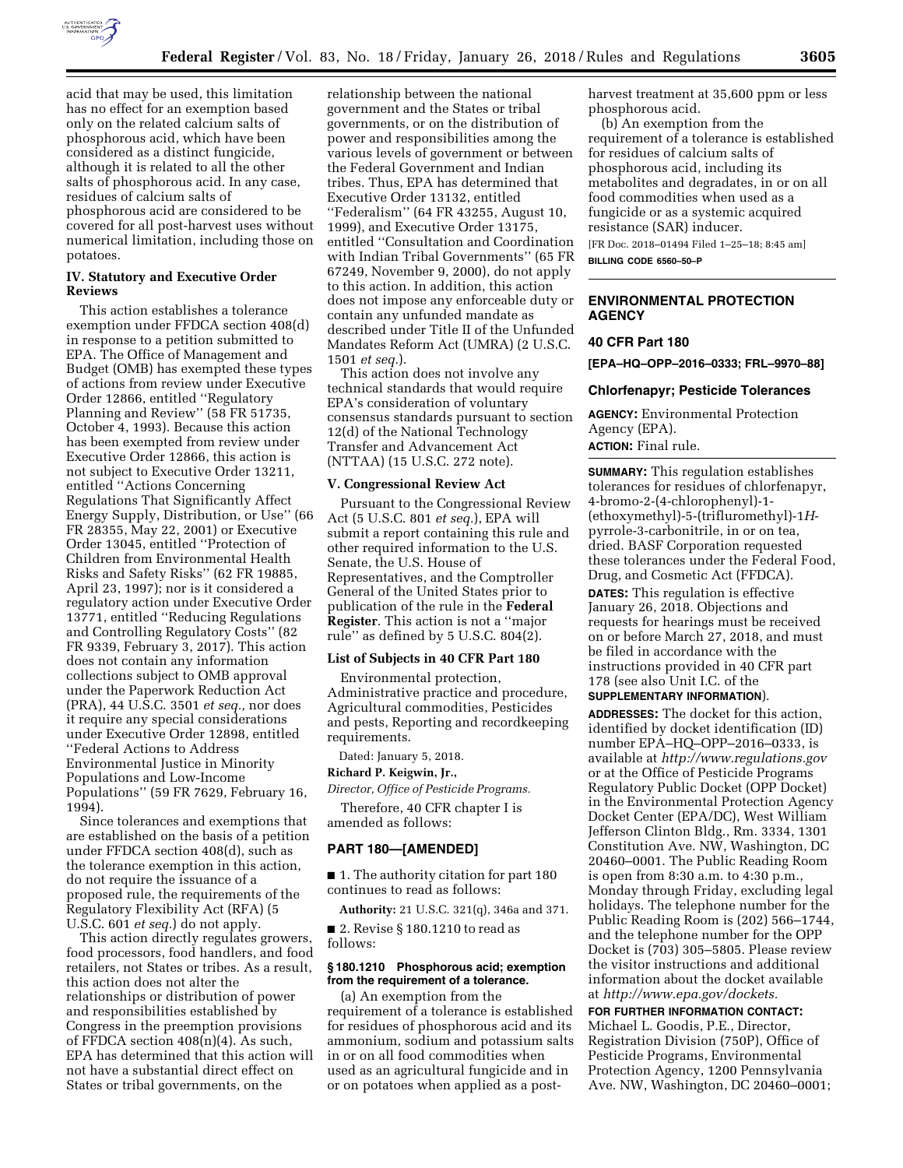

(b) An exemption from the requirement of a tolerance is established for residues of calcium salts of phosphorous acid, including its metabolites and degradates, in or on all food commodities when used as a fungicide or as a systemic acquired resistance (SAR) inducer.

[FR Doc. 2018–01494 Filed 1–25–18; 8:45 am] **BILLING CODE 6560–50–P** 

# **ENVIRONMENTAL PROTECTION AGENCY**

# **40 CFR Part 180**

**[EPA–HQ–OPP–2016–0333; FRL–9970–88]** 

#### **Chlorfenapyr; Pesticide Tolerances**

**AGENCY:** Environmental Protection Agency (EPA).

# **ACTION:** Final rule.

**SUMMARY:** This regulation establishes tolerances for residues of chlorfenapyr, 4-bromo-2-(4-chlorophenyl)-1- (ethoxymethyl)-5-(trifluromethyl)-1*H*pyrrole-3-carbonitrile, in or on tea, dried. BASF Corporation requested these tolerances under the Federal Food, Drug, and Cosmetic Act (FFDCA).

**DATES:** This regulation is effective January 26, 2018. Objections and requests for hearings must be received on or before March 27, 2018, and must be filed in accordance with the instructions provided in 40 CFR part 178 (see also Unit I.C. of the **SUPPLEMENTARY INFORMATION**).

**ADDRESSES:** The docket for this action, identified by docket identification (ID) number EPA–HQ–OPP–2016–0333, is available at *<http://www.regulations.gov>* or at the Office of Pesticide Programs Regulatory Public Docket (OPP Docket) in the Environmental Protection Agency Docket Center (EPA/DC), West William Jefferson Clinton Bldg., Rm. 3334, 1301 Constitution Ave. NW, Washington, DC 20460–0001. The Public Reading Room is open from 8:30 a.m. to 4:30 p.m., Monday through Friday, excluding legal holidays. The telephone number for the Public Reading Room is (202) 566–1744, and the telephone number for the OPP Docket is (703) 305–5805. Please review the visitor instructions and additional information about the docket available at *[http://www.epa.gov/dockets.](http://www.epa.gov/dockets)* 

**FOR FURTHER INFORMATION CONTACT:**  Michael L. Goodis, P.E., Director, Registration Division (750P), Office of Pesticide Programs, Environmental Protection Agency, 1200 Pennsylvania Ave. NW, Washington, DC 20460–0001;

acid that may be used, this limitation has no effect for an exemption based only on the related calcium salts of phosphorous acid, which have been considered as a distinct fungicide, although it is related to all the other salts of phosphorous acid. In any case, residues of calcium salts of phosphorous acid are considered to be covered for all post-harvest uses without numerical limitation, including those on potatoes.

## **IV. Statutory and Executive Order Reviews**

This action establishes a tolerance exemption under FFDCA section 408(d) in response to a petition submitted to EPA. The Office of Management and Budget (OMB) has exempted these types of actions from review under Executive Order 12866, entitled ''Regulatory Planning and Review'' (58 FR 51735, October 4, 1993). Because this action has been exempted from review under Executive Order 12866, this action is not subject to Executive Order 13211, entitled ''Actions Concerning Regulations That Significantly Affect Energy Supply, Distribution, or Use'' (66 FR 28355, May 22, 2001) or Executive Order 13045, entitled ''Protection of Children from Environmental Health Risks and Safety Risks'' (62 FR 19885, April 23, 1997); nor is it considered a regulatory action under Executive Order 13771, entitled ''Reducing Regulations and Controlling Regulatory Costs'' (82 FR 9339, February 3, 2017). This action does not contain any information collections subject to OMB approval under the Paperwork Reduction Act (PRA), 44 U.S.C. 3501 *et seq.,* nor does it require any special considerations under Executive Order 12898, entitled ''Federal Actions to Address Environmental Justice in Minority Populations and Low-Income Populations'' (59 FR 7629, February 16, 1994).

Since tolerances and exemptions that are established on the basis of a petition under FFDCA section 408(d), such as the tolerance exemption in this action, do not require the issuance of a proposed rule, the requirements of the Regulatory Flexibility Act (RFA) (5 U.S.C. 601 *et seq.*) do not apply.

This action directly regulates growers, food processors, food handlers, and food retailers, not States or tribes. As a result, this action does not alter the relationships or distribution of power and responsibilities established by Congress in the preemption provisions of FFDCA section 408(n)(4). As such, EPA has determined that this action will not have a substantial direct effect on States or tribal governments, on the

relationship between the national government and the States or tribal governments, or on the distribution of power and responsibilities among the various levels of government or between the Federal Government and Indian tribes. Thus, EPA has determined that Executive Order 13132, entitled ''Federalism'' (64 FR 43255, August 10, 1999), and Executive Order 13175, entitled ''Consultation and Coordination with Indian Tribal Governments'' (65 FR 67249, November 9, 2000), do not apply to this action. In addition, this action does not impose any enforceable duty or contain any unfunded mandate as described under Title II of the Unfunded Mandates Reform Act (UMRA) (2 U.S.C. 1501 *et seq.*).

This action does not involve any technical standards that would require EPA's consideration of voluntary consensus standards pursuant to section 12(d) of the National Technology Transfer and Advancement Act (NTTAA) (15 U.S.C. 272 note).

#### **V. Congressional Review Act**

Pursuant to the Congressional Review Act (5 U.S.C. 801 *et seq.*), EPA will submit a report containing this rule and other required information to the U.S. Senate, the U.S. House of Representatives, and the Comptroller General of the United States prior to publication of the rule in the **Federal Register**. This action is not a ''major rule'' as defined by 5 U.S.C. 804(2).

## **List of Subjects in 40 CFR Part 180**

Environmental protection, Administrative practice and procedure, Agricultural commodities, Pesticides and pests, Reporting and recordkeeping requirements.

Dated: January 5, 2018. **Richard P. Keigwin, Jr.,** 

*Director, Office of Pesticide Programs.* 

Therefore, 40 CFR chapter I is amended as follows:

### **PART 180—[AMENDED]**

■ 1. The authority citation for part 180 continues to read as follows:

**Authority:** 21 U.S.C. 321(q), 346a and 371.

■ 2. Revise § 180.1210 to read as follows:

# **§ 180.1210 Phosphorous acid; exemption from the requirement of a tolerance.**

(a) An exemption from the requirement of a tolerance is established for residues of phosphorous acid and its ammonium, sodium and potassium salts in or on all food commodities when used as an agricultural fungicide and in or on potatoes when applied as a post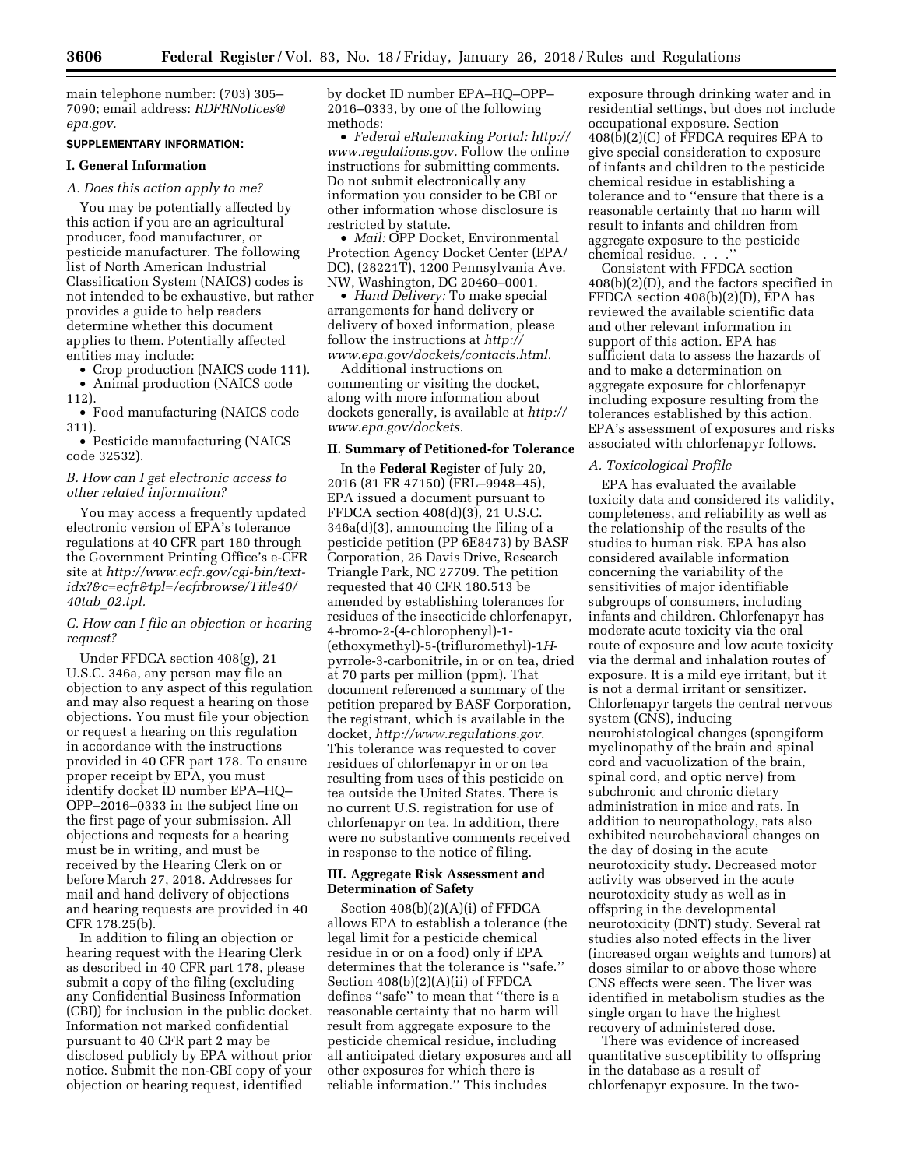main telephone number: (703) 305– 7090; email address: *[RDFRNotices@](mailto:RDFRNotices@epa.gov) [epa.gov.](mailto:RDFRNotices@epa.gov)* 

# **SUPPLEMENTARY INFORMATION:**

#### **I. General Information**

#### *A. Does this action apply to me?*

You may be potentially affected by this action if you are an agricultural producer, food manufacturer, or pesticide manufacturer. The following list of North American Industrial Classification System (NAICS) codes is not intended to be exhaustive, but rather provides a guide to help readers determine whether this document applies to them. Potentially affected entities may include:

• Crop production (NAICS code 111).

• Animal production (NAICS code 112).

• Food manufacturing (NAICS code 311).

• Pesticide manufacturing (NAICS code 32532).

# *B. How can I get electronic access to other related information?*

You may access a frequently updated electronic version of EPA's tolerance regulations at 40 CFR part 180 through the Government Printing Office's e-CFR site at *[http://www.ecfr.gov/cgi-bin/text](http://www.ecfr.gov/cgi-bin/text-idx?&c=ecfr&tpl=/ecfrbrowse/Title40/40tab_02.tpl)[idx?&c=ecfr&tpl=/ecfrbrowse/Title40/](http://www.ecfr.gov/cgi-bin/text-idx?&c=ecfr&tpl=/ecfrbrowse/Title40/40tab_02.tpl)  40tab*\_*[02.tpl.](http://www.ecfr.gov/cgi-bin/text-idx?&c=ecfr&tpl=/ecfrbrowse/Title40/40tab_02.tpl)* 

# *C. How can I file an objection or hearing request?*

Under FFDCA section 408(g), 21 U.S.C. 346a, any person may file an objection to any aspect of this regulation and may also request a hearing on those objections. You must file your objection or request a hearing on this regulation in accordance with the instructions provided in 40 CFR part 178. To ensure proper receipt by EPA, you must identify docket ID number EPA–HQ– OPP–2016–0333 in the subject line on the first page of your submission. All objections and requests for a hearing must be in writing, and must be received by the Hearing Clerk on or before March 27, 2018. Addresses for mail and hand delivery of objections and hearing requests are provided in 40 CFR 178.25(b).

In addition to filing an objection or hearing request with the Hearing Clerk as described in 40 CFR part 178, please submit a copy of the filing (excluding any Confidential Business Information (CBI)) for inclusion in the public docket. Information not marked confidential pursuant to 40 CFR part 2 may be disclosed publicly by EPA without prior notice. Submit the non-CBI copy of your objection or hearing request, identified

by docket ID number EPA–HQ–OPP– 2016–0333, by one of the following methods:

• *Federal eRulemaking Portal: [http://](http://www.regulations.gov)  [www.regulations.gov.](http://www.regulations.gov)* Follow the online instructions for submitting comments. Do not submit electronically any information you consider to be CBI or other information whose disclosure is restricted by statute.

• *Mail:* OPP Docket, Environmental Protection Agency Docket Center (EPA/ DC), (28221T), 1200 Pennsylvania Ave. NW, Washington, DC 20460–0001.

• *Hand Delivery:* To make special arrangements for hand delivery or delivery of boxed information, please follow the instructions at *[http://](http://www.epa.gov/dockets/contacts.html) [www.epa.gov/dockets/contacts.html.](http://www.epa.gov/dockets/contacts.html)* 

Additional instructions on commenting or visiting the docket, along with more information about dockets generally, is available at *[http://](http://www.epa.gov/dockets) [www.epa.gov/dockets.](http://www.epa.gov/dockets)* 

### **II. Summary of Petitioned-for Tolerance**

In the **Federal Register** of July 20, 2016 (81 FR 47150) (FRL–9948–45), EPA issued a document pursuant to FFDCA section 408(d)(3), 21 U.S.C. 346a(d)(3), announcing the filing of a pesticide petition (PP 6E8473) by BASF Corporation, 26 Davis Drive, Research Triangle Park, NC 27709. The petition requested that 40 CFR 180.513 be amended by establishing tolerances for residues of the insecticide chlorfenapyr, 4-bromo-2-(4-chlorophenyl)-1- (ethoxymethyl)-5-(trifluromethyl)-1*H*pyrrole-3-carbonitrile, in or on tea, dried at 70 parts per million (ppm). That document referenced a summary of the petition prepared by BASF Corporation, the registrant, which is available in the docket, *[http://www.regulations.gov.](http://www.regulations.gov)*  This tolerance was requested to cover residues of chlorfenapyr in or on tea resulting from uses of this pesticide on tea outside the United States. There is no current U.S. registration for use of chlorfenapyr on tea. In addition, there were no substantive comments received in response to the notice of filing.

## **III. Aggregate Risk Assessment and Determination of Safety**

Section 408(b)(2)(A)(i) of FFDCA allows EPA to establish a tolerance (the legal limit for a pesticide chemical residue in or on a food) only if EPA determines that the tolerance is ''safe.'' Section 408(b)(2)(A)(ii) of FFDCA defines ''safe'' to mean that ''there is a reasonable certainty that no harm will result from aggregate exposure to the pesticide chemical residue, including all anticipated dietary exposures and all other exposures for which there is reliable information.'' This includes

exposure through drinking water and in residential settings, but does not include occupational exposure. Section 408(b)(2)(C) of FFDCA requires EPA to give special consideration to exposure of infants and children to the pesticide chemical residue in establishing a tolerance and to ''ensure that there is a reasonable certainty that no harm will result to infants and children from aggregate exposure to the pesticide chemical residue. . . .''

Consistent with FFDCA section 408(b)(2)(D), and the factors specified in FFDCA section 408(b)(2)(D), EPA has reviewed the available scientific data and other relevant information in support of this action. EPA has sufficient data to assess the hazards of and to make a determination on aggregate exposure for chlorfenapyr including exposure resulting from the tolerances established by this action. EPA's assessment of exposures and risks associated with chlorfenapyr follows.

#### *A. Toxicological Profile*

EPA has evaluated the available toxicity data and considered its validity, completeness, and reliability as well as the relationship of the results of the studies to human risk. EPA has also considered available information concerning the variability of the sensitivities of major identifiable subgroups of consumers, including infants and children. Chlorfenapyr has moderate acute toxicity via the oral route of exposure and low acute toxicity via the dermal and inhalation routes of exposure. It is a mild eye irritant, but it is not a dermal irritant or sensitizer. Chlorfenapyr targets the central nervous system (CNS), inducing neurohistological changes (spongiform myelinopathy of the brain and spinal cord and vacuolization of the brain, spinal cord, and optic nerve) from subchronic and chronic dietary administration in mice and rats. In addition to neuropathology, rats also exhibited neurobehavioral changes on the day of dosing in the acute neurotoxicity study. Decreased motor activity was observed in the acute neurotoxicity study as well as in offspring in the developmental neurotoxicity (DNT) study. Several rat studies also noted effects in the liver (increased organ weights and tumors) at doses similar to or above those where CNS effects were seen. The liver was identified in metabolism studies as the single organ to have the highest recovery of administered dose.

There was evidence of increased quantitative susceptibility to offspring in the database as a result of chlorfenapyr exposure. In the two-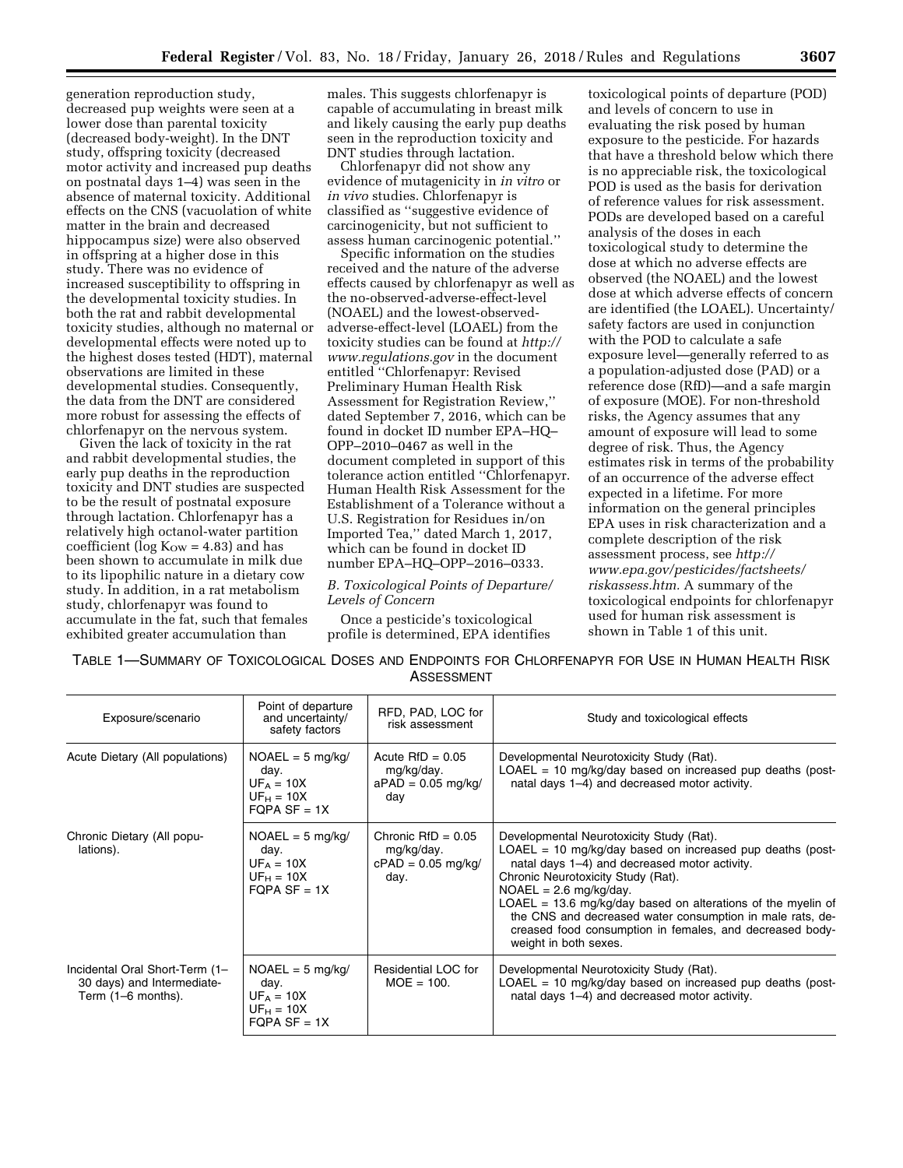generation reproduction study, decreased pup weights were seen at a lower dose than parental toxicity (decreased body-weight). In the DNT study, offspring toxicity (decreased motor activity and increased pup deaths on postnatal days 1–4) was seen in the absence of maternal toxicity. Additional effects on the CNS (vacuolation of white matter in the brain and decreased hippocampus size) were also observed in offspring at a higher dose in this study. There was no evidence of increased susceptibility to offspring in the developmental toxicity studies. In both the rat and rabbit developmental toxicity studies, although no maternal or developmental effects were noted up to the highest doses tested (HDT), maternal observations are limited in these developmental studies. Consequently, the data from the DNT are considered more robust for assessing the effects of chlorfenapyr on the nervous system.

Given the lack of toxicity in the rat and rabbit developmental studies, the early pup deaths in the reproduction toxicity and DNT studies are suspected to be the result of postnatal exposure through lactation. Chlorfenapyr has a relatively high octanol-water partition coefficient (log  $K_{\text{OW}} = 4.83$ ) and has been shown to accumulate in milk due to its lipophilic nature in a dietary cow study. In addition, in a rat metabolism study, chlorfenapyr was found to accumulate in the fat, such that females exhibited greater accumulation than

males. This suggests chlorfenapyr is capable of accumulating in breast milk and likely causing the early pup deaths seen in the reproduction toxicity and DNT studies through lactation.

Chlorfenapyr did not show any evidence of mutagenicity in *in vitro* or *in vivo* studies. Chlorfenapyr is classified as ''suggestive evidence of carcinogenicity, but not sufficient to assess human carcinogenic potential.''

Specific information on the studies received and the nature of the adverse effects caused by chlorfenapyr as well as the no-observed-adverse-effect-level (NOAEL) and the lowest-observedadverse-effect-level (LOAEL) from the toxicity studies can be found at *[http://](http://www.regulations.gov) [www.regulations.gov](http://www.regulations.gov)* in the document entitled ''Chlorfenapyr: Revised Preliminary Human Health Risk Assessment for Registration Review,'' dated September 7, 2016, which can be found in docket ID number EPA–HQ– OPP–2010–0467 as well in the document completed in support of this tolerance action entitled ''Chlorfenapyr. Human Health Risk Assessment for the Establishment of a Tolerance without a U.S. Registration for Residues in/on Imported Tea,'' dated March 1, 2017, which can be found in docket ID number EPA–HQ–OPP–2016–0333.

# *B. Toxicological Points of Departure/ Levels of Concern*

Once a pesticide's toxicological profile is determined, EPA identifies

toxicological points of departure (POD) and levels of concern to use in evaluating the risk posed by human exposure to the pesticide. For hazards that have a threshold below which there is no appreciable risk, the toxicological POD is used as the basis for derivation of reference values for risk assessment. PODs are developed based on a careful analysis of the doses in each toxicological study to determine the dose at which no adverse effects are observed (the NOAEL) and the lowest dose at which adverse effects of concern are identified (the LOAEL). Uncertainty/ safety factors are used in conjunction with the POD to calculate a safe exposure level—generally referred to as a population-adjusted dose (PAD) or a reference dose (RfD)—and a safe margin of exposure (MOE). For non-threshold risks, the Agency assumes that any amount of exposure will lead to some degree of risk. Thus, the Agency estimates risk in terms of the probability of an occurrence of the adverse effect expected in a lifetime. For more information on the general principles EPA uses in risk characterization and a complete description of the risk assessment process, see *[http://](http://www.epa.gov/pesticides/factsheets/riskassess.htm) [www.epa.gov/pesticides/factsheets/](http://www.epa.gov/pesticides/factsheets/riskassess.htm) [riskassess.htm.](http://www.epa.gov/pesticides/factsheets/riskassess.htm)* A summary of the toxicological endpoints for chlorfenapyr used for human risk assessment is shown in Table 1 of this unit.

|  | TABLE 1—SUMMARY OF TOXICOLOGICAL DOSES AND ENDPOINTS FOR CHLORFENAPYR FOR USE IN HUMAN HEALTH RISK |  |  |
|--|----------------------------------------------------------------------------------------------------|--|--|
|  | ASSESSMENT                                                                                         |  |  |

| Exposure/scenario                                                                  | Point of departure<br>and uncertainty/<br>safety factors                     | RFD, PAD, LOC for<br>risk assessment                               | Study and toxicological effects                                                                                                                                                                                                                                                                                                                                                                                                                |
|------------------------------------------------------------------------------------|------------------------------------------------------------------------------|--------------------------------------------------------------------|------------------------------------------------------------------------------------------------------------------------------------------------------------------------------------------------------------------------------------------------------------------------------------------------------------------------------------------------------------------------------------------------------------------------------------------------|
| Acute Dietary (All populations)                                                    | $NOAEL = 5$ mg/kg/<br>day.<br>$UF_A = 10X$<br>$UF_H = 10X$<br>FOPA $SF = 1X$ | Acute $RfD = 0.05$<br>mg/kg/day.<br>$aPAD = 0.05$ mg/kg/<br>day    | Developmental Neurotoxicity Study (Rat).<br>LOAEL = 10 mg/kg/day based on increased pup deaths (post-<br>natal days 1-4) and decreased motor activity.                                                                                                                                                                                                                                                                                         |
| Chronic Dietary (All popu-<br>lations).                                            | $NOAEL = 5$ mg/kg/<br>day.<br>$UF_A = 10X$<br>$UF_H = 10X$<br>FOPA SF = $1X$ | Chronic $RfD = 0.05$<br>mg/kg/day.<br>$cPAD = 0.05$ mg/kg/<br>day. | Developmental Neurotoxicity Study (Rat).<br>$LOAEL = 10$ mg/kg/day based on increased pup deaths (post-<br>natal days 1-4) and decreased motor activity.<br>Chronic Neurotoxicity Study (Rat).<br>$NOAEL = 2.6$ mg/kg/day.<br>$LOAEL = 13.6$ mg/kg/day based on alterations of the myelin of<br>the CNS and decreased water consumption in male rats, de-<br>creased food consumption in females, and decreased body-<br>weight in both sexes. |
| Incidental Oral Short-Term (1-<br>30 days) and Intermediate-<br>Term (1-6 months). | $NOAEL = 5 mg/kg/$<br>day.<br>$UF_A = 10X$<br>$UF_H = 10X$<br>$FQPA SF = 1X$ | Residential LOC for<br>$MOE = 100.$                                | Developmental Neurotoxicity Study (Rat).<br>$LOAEL = 10$ mg/kg/day based on increased pup deaths (post-<br>natal days 1-4) and decreased motor activity.                                                                                                                                                                                                                                                                                       |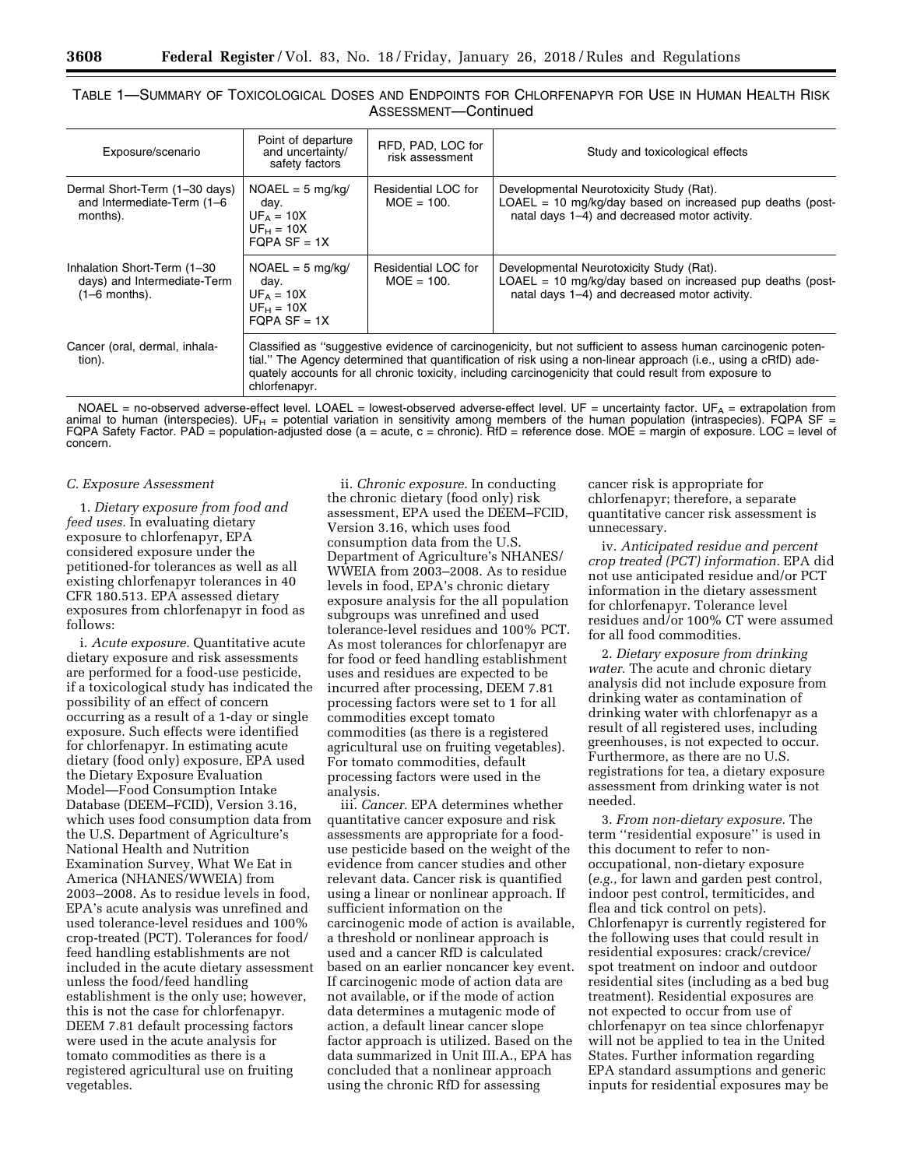# TABLE 1—SUMMARY OF TOXICOLOGICAL DOSES AND ENDPOINTS FOR CHLORFENAPYR FOR USE IN HUMAN HEALTH RISK ASSESSMENT—Continued

| Exposure/scenario                                                             | Point of departure<br>and uncertainty/<br>safety factors                                                                                                                                                                                                                                                                                                    | RFD, PAD, LOC for<br>risk assessment | Study and toxicological effects                                                                                                                          |  |  |
|-------------------------------------------------------------------------------|-------------------------------------------------------------------------------------------------------------------------------------------------------------------------------------------------------------------------------------------------------------------------------------------------------------------------------------------------------------|--------------------------------------|----------------------------------------------------------------------------------------------------------------------------------------------------------|--|--|
| Dermal Short-Term (1-30 days)<br>and Intermediate-Term (1-6<br>months).       | $NOAEL = 5$ mg/kg/<br>day.<br>$UF_A = 10X$<br>$UF_H = 10X$<br>$FOPA SF = 1X$                                                                                                                                                                                                                                                                                | Residential LOC for<br>$MOE = 100.$  | Developmental Neurotoxicity Study (Rat).<br>$LOAEL = 10$ mg/kg/day based on increased pup deaths (post-<br>natal days 1-4) and decreased motor activity. |  |  |
| Inhalation Short-Term (1-30<br>days) and Intermediate-Term<br>$(1-6$ months). | $NOAEL = 5$ mg/kg/<br>day.<br>$UF_A = 10X$<br>$UF_H = 10X$<br>FOPA SF = $1X$                                                                                                                                                                                                                                                                                | Residential LOC for<br>$MOE = 100.$  | Developmental Neurotoxicity Study (Rat).<br>$LOAEL = 10$ mg/kg/day based on increased pup deaths (post-<br>natal days 1-4) and decreased motor activity. |  |  |
| Cancer (oral, dermal, inhala-<br>tion).                                       | Classified as "suggestive evidence of carcinogenicity, but not sufficient to assess human carcinogenic poten-<br>tial." The Agency determined that quantification of risk using a non-linear approach (i.e., using a cRfD) ade-<br>quately accounts for all chronic toxicity, including carcinogenicity that could result from exposure to<br>chlorfenapyr. |                                      |                                                                                                                                                          |  |  |

NOAEL = no-observed adverse-effect level. LOAEL = lowest-observed adverse-effect level. UF = uncertainty factor. UFA = extrapolation from animal to human (interspecies). UF<sub>H</sub> = potential variation in sensitivity among members of the human population (intraspecies). FQPA SF =<br>FQPA Safety Factor. PAD = population-adjusted dose (a = acute, c = chronic). RfD = concern.

#### *C. Exposure Assessment*

1. *Dietary exposure from food and feed uses.* In evaluating dietary exposure to chlorfenapyr, EPA considered exposure under the petitioned-for tolerances as well as all existing chlorfenapyr tolerances in 40 CFR 180.513. EPA assessed dietary exposures from chlorfenapyr in food as follows:

i. *Acute exposure.* Quantitative acute dietary exposure and risk assessments are performed for a food-use pesticide, if a toxicological study has indicated the possibility of an effect of concern occurring as a result of a 1-day or single exposure. Such effects were identified for chlorfenapyr. In estimating acute dietary (food only) exposure, EPA used the Dietary Exposure Evaluation Model—Food Consumption Intake Database (DEEM–FCID), Version 3.16, which uses food consumption data from the U.S. Department of Agriculture's National Health and Nutrition Examination Survey, What We Eat in America (NHANES/WWEIA) from 2003–2008. As to residue levels in food, EPA's acute analysis was unrefined and used tolerance-level residues and 100% crop-treated (PCT). Tolerances for food/ feed handling establishments are not included in the acute dietary assessment unless the food/feed handling establishment is the only use; however, this is not the case for chlorfenapyr. DEEM 7.81 default processing factors were used in the acute analysis for tomato commodities as there is a registered agricultural use on fruiting vegetables.

ii. *Chronic exposure.* In conducting the chronic dietary (food only) risk assessment, EPA used the DEEM–FCID, Version 3.16, which uses food consumption data from the U.S. Department of Agriculture's NHANES/ WWEIA from 2003–2008. As to residue levels in food, EPA's chronic dietary exposure analysis for the all population subgroups was unrefined and used tolerance-level residues and 100% PCT. As most tolerances for chlorfenapyr are for food or feed handling establishment uses and residues are expected to be incurred after processing, DEEM 7.81 processing factors were set to 1 for all commodities except tomato commodities (as there is a registered agricultural use on fruiting vegetables). For tomato commodities, default processing factors were used in the analysis.

iii. *Cancer.* EPA determines whether quantitative cancer exposure and risk assessments are appropriate for a fooduse pesticide based on the weight of the evidence from cancer studies and other relevant data. Cancer risk is quantified using a linear or nonlinear approach. If sufficient information on the carcinogenic mode of action is available, a threshold or nonlinear approach is used and a cancer RfD is calculated based on an earlier noncancer key event. If carcinogenic mode of action data are not available, or if the mode of action data determines a mutagenic mode of action, a default linear cancer slope factor approach is utilized. Based on the data summarized in Unit III.A., EPA has concluded that a nonlinear approach using the chronic RfD for assessing

cancer risk is appropriate for chlorfenapyr; therefore, a separate quantitative cancer risk assessment is unnecessary.

iv. *Anticipated residue and percent crop treated (PCT) information.* EPA did not use anticipated residue and/or PCT information in the dietary assessment for chlorfenapyr. Tolerance level residues and/or 100% CT were assumed for all food commodities.

2. *Dietary exposure from drinking water.* The acute and chronic dietary analysis did not include exposure from drinking water as contamination of drinking water with chlorfenapyr as a result of all registered uses, including greenhouses, is not expected to occur. Furthermore, as there are no U.S. registrations for tea, a dietary exposure assessment from drinking water is not needed.

3. *From non-dietary exposure.* The term ''residential exposure'' is used in this document to refer to nonoccupational, non-dietary exposure (*e.g.,* for lawn and garden pest control, indoor pest control, termiticides, and flea and tick control on pets). Chlorfenapyr is currently registered for the following uses that could result in residential exposures: crack/crevice/ spot treatment on indoor and outdoor residential sites (including as a bed bug treatment). Residential exposures are not expected to occur from use of chlorfenapyr on tea since chlorfenapyr will not be applied to tea in the United States. Further information regarding EPA standard assumptions and generic inputs for residential exposures may be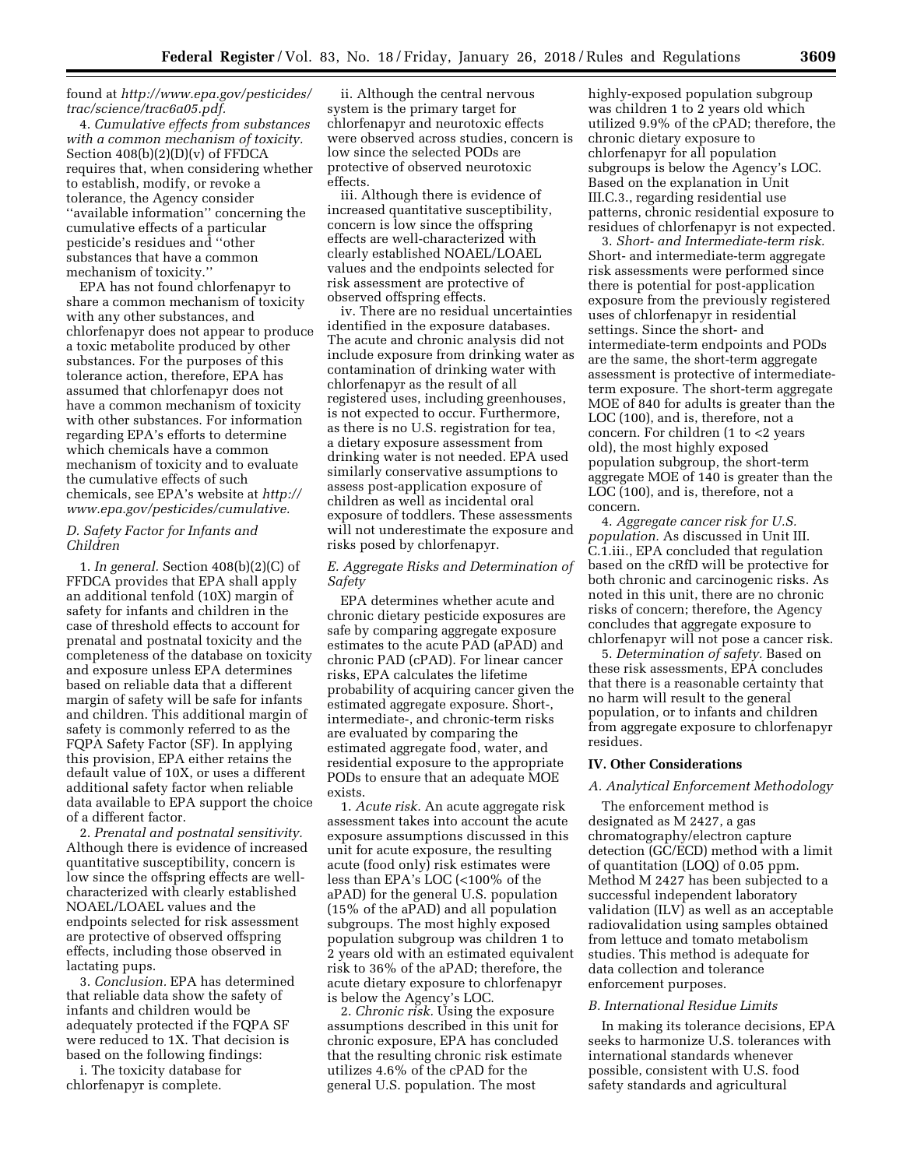## found at *[http://www.epa.gov/pesticides/](http://www.epa.gov/pesticides/trac/science/trac6a05.pdf) [trac/science/trac6a05.pdf.](http://www.epa.gov/pesticides/trac/science/trac6a05.pdf)*

4. *Cumulative effects from substances with a common mechanism of toxicity.*  Section  $408(b)(2)(D)(v)$  of FFDCA requires that, when considering whether to establish, modify, or revoke a tolerance, the Agency consider ''available information'' concerning the cumulative effects of a particular pesticide's residues and ''other substances that have a common mechanism of toxicity.''

EPA has not found chlorfenapyr to share a common mechanism of toxicity with any other substances, and chlorfenapyr does not appear to produce a toxic metabolite produced by other substances. For the purposes of this tolerance action, therefore, EPA has assumed that chlorfenapyr does not have a common mechanism of toxicity with other substances. For information regarding EPA's efforts to determine which chemicals have a common mechanism of toxicity and to evaluate the cumulative effects of such chemicals, see EPA's website at *[http://](http://www.epa.gov/pesticides/cumulative) [www.epa.gov/pesticides/cumulative.](http://www.epa.gov/pesticides/cumulative)* 

### *D. Safety Factor for Infants and Children*

1. *In general.* Section 408(b)(2)(C) of FFDCA provides that EPA shall apply an additional tenfold (10X) margin of safety for infants and children in the case of threshold effects to account for prenatal and postnatal toxicity and the completeness of the database on toxicity and exposure unless EPA determines based on reliable data that a different margin of safety will be safe for infants and children. This additional margin of safety is commonly referred to as the FQPA Safety Factor (SF). In applying this provision, EPA either retains the default value of 10X, or uses a different additional safety factor when reliable data available to EPA support the choice of a different factor.

2. *Prenatal and postnatal sensitivity.*  Although there is evidence of increased quantitative susceptibility, concern is low since the offspring effects are wellcharacterized with clearly established NOAEL/LOAEL values and the endpoints selected for risk assessment are protective of observed offspring effects, including those observed in lactating pups.

3. *Conclusion.* EPA has determined that reliable data show the safety of infants and children would be adequately protected if the FQPA SF were reduced to 1X. That decision is based on the following findings:

i. The toxicity database for chlorfenapyr is complete.

ii. Although the central nervous system is the primary target for chlorfenapyr and neurotoxic effects were observed across studies, concern is low since the selected PODs are protective of observed neurotoxic effects.

iii. Although there is evidence of increased quantitative susceptibility, concern is low since the offspring effects are well-characterized with clearly established NOAEL/LOAEL values and the endpoints selected for risk assessment are protective of observed offspring effects.

iv. There are no residual uncertainties identified in the exposure databases. The acute and chronic analysis did not include exposure from drinking water as contamination of drinking water with chlorfenapyr as the result of all registered uses, including greenhouses, is not expected to occur. Furthermore, as there is no U.S. registration for tea, a dietary exposure assessment from drinking water is not needed. EPA used similarly conservative assumptions to assess post-application exposure of children as well as incidental oral exposure of toddlers. These assessments will not underestimate the exposure and risks posed by chlorfenapyr.

# *E. Aggregate Risks and Determination of Safety*

EPA determines whether acute and chronic dietary pesticide exposures are safe by comparing aggregate exposure estimates to the acute PAD (aPAD) and chronic PAD (cPAD). For linear cancer risks, EPA calculates the lifetime probability of acquiring cancer given the estimated aggregate exposure. Short-, intermediate-, and chronic-term risks are evaluated by comparing the estimated aggregate food, water, and residential exposure to the appropriate PODs to ensure that an adequate MOE exists.

1. *Acute risk.* An acute aggregate risk assessment takes into account the acute exposure assumptions discussed in this unit for acute exposure, the resulting acute (food only) risk estimates were less than EPA's LOC (<100% of the aPAD) for the general U.S. population (15% of the aPAD) and all population subgroups. The most highly exposed population subgroup was children 1 to 2 years old with an estimated equivalent risk to 36% of the aPAD; therefore, the acute dietary exposure to chlorfenapyr is below the Agency's LOC.

2. *Chronic risk.* Using the exposure assumptions described in this unit for chronic exposure, EPA has concluded that the resulting chronic risk estimate utilizes 4.6% of the cPAD for the general U.S. population. The most

highly-exposed population subgroup was children 1 to 2 years old which utilized 9.9% of the cPAD; therefore, the chronic dietary exposure to chlorfenapyr for all population subgroups is below the Agency's LOC. Based on the explanation in Unit III.C.3., regarding residential use patterns, chronic residential exposure to residues of chlorfenapyr is not expected.

3. *Short- and Intermediate-term risk.*  Short- and intermediate-term aggregate risk assessments were performed since there is potential for post-application exposure from the previously registered uses of chlorfenapyr in residential settings. Since the short- and intermediate-term endpoints and PODs are the same, the short-term aggregate assessment is protective of intermediateterm exposure. The short-term aggregate MOE of 840 for adults is greater than the LOC (100), and is, therefore, not a concern. For children (1 to <2 years old), the most highly exposed population subgroup, the short-term aggregate MOE of 140 is greater than the LOC (100), and is, therefore, not a concern.

4. *Aggregate cancer risk for U.S. population.* As discussed in Unit III. C.1.iii., EPA concluded that regulation based on the cRfD will be protective for both chronic and carcinogenic risks. As noted in this unit, there are no chronic risks of concern; therefore, the Agency concludes that aggregate exposure to chlorfenapyr will not pose a cancer risk.

5. *Determination of safety.* Based on these risk assessments, EPA concludes that there is a reasonable certainty that no harm will result to the general population, or to infants and children from aggregate exposure to chlorfenapyr residues.

## **IV. Other Considerations**

## *A. Analytical Enforcement Methodology*

The enforcement method is designated as M 2427, a gas chromatography/electron capture detection (GC/ECD) method with a limit of quantitation (LOQ) of 0.05 ppm. Method M 2427 has been subjected to a successful independent laboratory validation (ILV) as well as an acceptable radiovalidation using samples obtained from lettuce and tomato metabolism studies. This method is adequate for data collection and tolerance enforcement purposes.

## *B. International Residue Limits*

In making its tolerance decisions, EPA seeks to harmonize U.S. tolerances with international standards whenever possible, consistent with U.S. food safety standards and agricultural